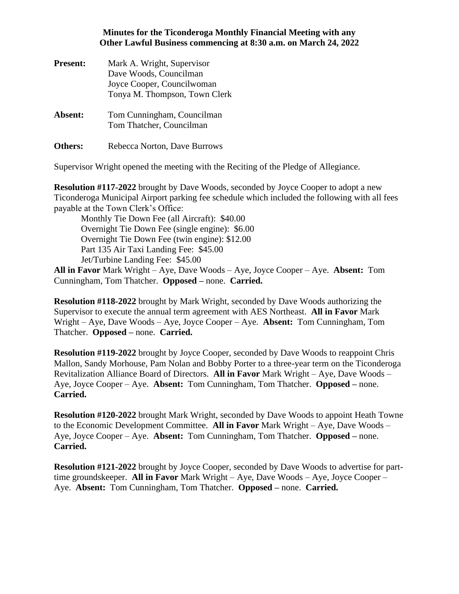## **Minutes for the Ticonderoga Monthly Financial Meeting with any Other Lawful Business commencing at 8:30 a.m. on March 24, 2022**

| <b>Present:</b> | Mark A. Wright, Supervisor<br>Dave Woods, Councilman<br>Joyce Cooper, Councilwoman<br>Tonya M. Thompson, Town Clerk |
|-----------------|---------------------------------------------------------------------------------------------------------------------|
| Absent:         | Tom Cunningham, Councilman<br>Tom Thatcher, Councilman                                                              |
| Others:         | Rebecca Norton, Dave Burrows                                                                                        |

Supervisor Wright opened the meeting with the Reciting of the Pledge of Allegiance.

**Resolution #117-2022** brought by Dave Woods, seconded by Joyce Cooper to adopt a new Ticonderoga Municipal Airport parking fee schedule which included the following with all fees payable at the Town Clerk's Office:

Monthly Tie Down Fee (all Aircraft): \$40.00 Overnight Tie Down Fee (single engine): \$6.00 Overnight Tie Down Fee (twin engine): \$12.00 Part 135 Air Taxi Landing Fee: \$45.00 Jet/Turbine Landing Fee: \$45.00

**All in Favor** Mark Wright – Aye, Dave Woods – Aye, Joyce Cooper – Aye. **Absent:** Tom Cunningham, Tom Thatcher. **Opposed –** none. **Carried.**

**Resolution #118-2022** brought by Mark Wright, seconded by Dave Woods authorizing the Supervisor to execute the annual term agreement with AES Northeast. **All in Favor** Mark Wright – Aye, Dave Woods – Aye, Joyce Cooper – Aye. **Absent:** Tom Cunningham, Tom Thatcher. **Opposed –** none. **Carried.**

**Resolution #119-2022** brought by Joyce Cooper, seconded by Dave Woods to reappoint Chris Mallon, Sandy Morhouse, Pam Nolan and Bobby Porter to a three-year term on the Ticonderoga Revitalization Alliance Board of Directors. **All in Favor** Mark Wright – Aye, Dave Woods – Aye, Joyce Cooper – Aye. **Absent:** Tom Cunningham, Tom Thatcher. **Opposed –** none. **Carried.**

**Resolution #120-2022** brought Mark Wright, seconded by Dave Woods to appoint Heath Towne to the Economic Development Committee. **All in Favor** Mark Wright – Aye, Dave Woods – Aye, Joyce Cooper – Aye. **Absent:** Tom Cunningham, Tom Thatcher. **Opposed –** none. **Carried.**

**Resolution #121-2022** brought by Joyce Cooper, seconded by Dave Woods to advertise for parttime groundskeeper. **All in Favor** Mark Wright – Aye, Dave Woods – Aye, Joyce Cooper – Aye. **Absent:** Tom Cunningham, Tom Thatcher. **Opposed –** none. **Carried.**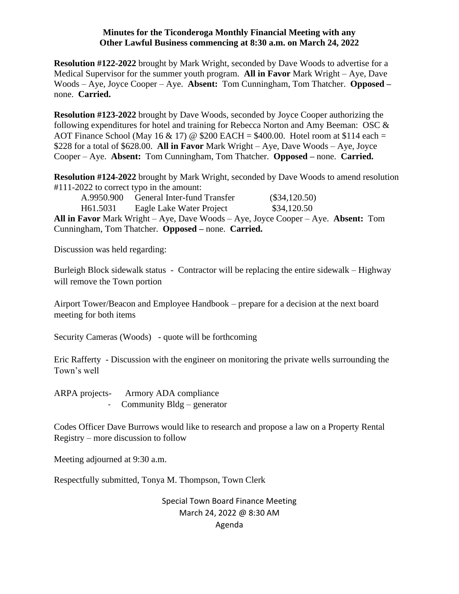## **Minutes for the Ticonderoga Monthly Financial Meeting with any Other Lawful Business commencing at 8:30 a.m. on March 24, 2022**

**Resolution #122-2022** brought by Mark Wright, seconded by Dave Woods to advertise for a Medical Supervisor for the summer youth program. **All in Favor** Mark Wright – Aye, Dave Woods – Aye, Joyce Cooper – Aye. **Absent:** Tom Cunningham, Tom Thatcher. **Opposed –** none. **Carried.**

**Resolution #123-2022** brought by Dave Woods, seconded by Joyce Cooper authorizing the following expenditures for hotel and training for Rebecca Norton and Amy Beeman: OSC & AOT Finance School (May 16 & 17) @ \$200 EACH = \$400.00. Hotel room at \$114 each = \$228 for a total of \$628.00. **All in Favor** Mark Wright – Aye, Dave Woods – Aye, Joyce Cooper – Aye. **Absent:** Tom Cunningham, Tom Thatcher. **Opposed –** none. **Carried.**

**Resolution #124-2022** brought by Mark Wright, seconded by Dave Woods to amend resolution #111-2022 to correct typo in the amount:

| A.9950.900           | General Inter-fund Transfer | $(\$34,120.50)$ |
|----------------------|-----------------------------|-----------------|
| H <sub>61.5031</sub> | Eagle Lake Water Project    | \$34,120.50     |
|                      |                             |                 |

**All in Favor** Mark Wright – Aye, Dave Woods – Aye, Joyce Cooper – Aye. **Absent:** Tom Cunningham, Tom Thatcher. **Opposed –** none. **Carried.**

Discussion was held regarding:

Burleigh Block sidewalk status - Contractor will be replacing the entire sidewalk – Highway will remove the Town portion

Airport Tower/Beacon and Employee Handbook – prepare for a decision at the next board meeting for both items

Security Cameras (Woods) - quote will be forthcoming

Eric Rafferty - Discussion with the engineer on monitoring the private wells surrounding the Town's well

ARPA projects- Armory ADA compliance - Community Bldg – generator

Codes Officer Dave Burrows would like to research and propose a law on a Property Rental Registry – more discussion to follow

Meeting adjourned at 9:30 a.m.

Respectfully submitted, Tonya M. Thompson, Town Clerk

Special Town Board Finance Meeting March 24, 2022 @ 8:30 AM Agenda